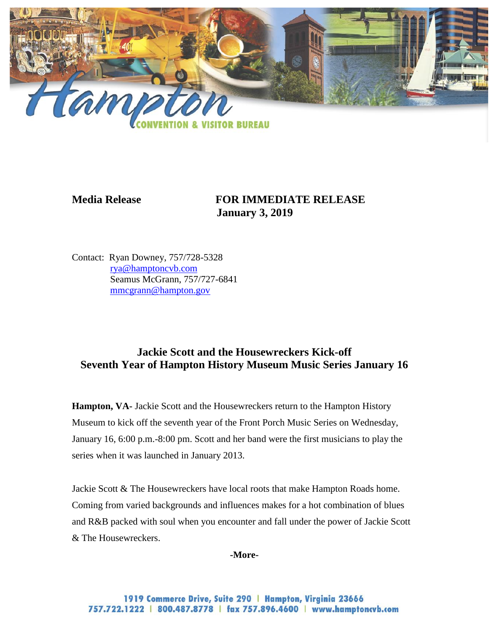

# **Media Release FOR IMMEDIATE RELEASE January 3, 2019**

Contact: Ryan Downey, 757/728-5328 [rya@hamptoncvb.com](mailto:rya@hamptoncvb.com) Seamus McGrann, 757/727-6841 [mmcgrann@hampton.gov](mailto:mmcgrann@hampton.gov)

# **Jackie Scott and the Housewreckers Kick-off Seventh Year of Hampton History Museum Music Series January 16**

**Hampton, VA-** Jackie Scott and the Housewreckers return to the Hampton History Museum to kick off the seventh year of the Front Porch Music Series on Wednesday, January 16, 6:00 p.m.-8:00 pm. Scott and her band were the first musicians to play the series when it was launched in January 2013.

Jackie Scott & The Housewreckers have local roots that make Hampton Roads home. Coming from varied backgrounds and influences makes for a hot combination of blues and R&B packed with soul when you encounter and fall under the power of Jackie Scott & The Housewreckers.

**-More-**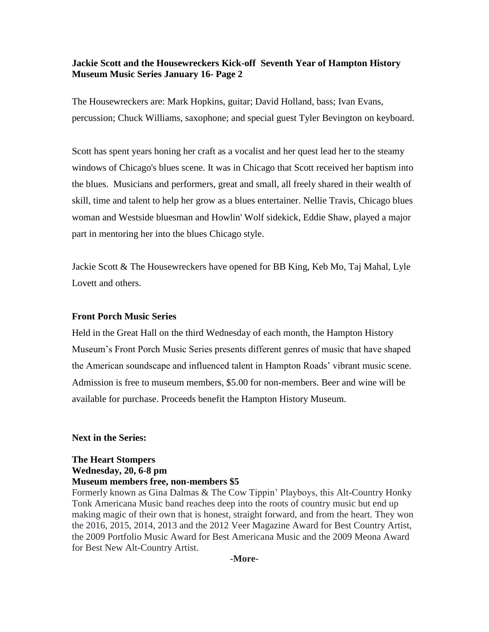## **Jackie Scott and the Housewreckers Kick-off Seventh Year of Hampton History Museum Music Series January 16- Page 2**

The Housewreckers are: Mark Hopkins, guitar; David Holland, bass; Ivan Evans, percussion; Chuck Williams, saxophone; and special guest Tyler Bevington on keyboard.

Scott has spent years honing her craft as a vocalist and her quest lead her to the steamy windows of Chicago's blues scene. It was in Chicago that Scott received her baptism into the blues. Musicians and performers, great and small, all freely shared in their wealth of skill, time and talent to help her grow as a blues entertainer. Nellie Travis, Chicago blues woman and Westside bluesman and Howlin' Wolf sidekick, Eddie Shaw, played a major part in mentoring her into the blues Chicago style.

Jackie Scott & The Housewreckers have opened for BB King, Keb Mo, Taj Mahal, Lyle Lovett and others.

#### **Front Porch Music Series**

Held in the Great Hall on the third Wednesday of each month, the Hampton History Museum's Front Porch Music Series presents different genres of music that have shaped the American soundscape and influenced talent in Hampton Roads' vibrant music scene. Admission is free to museum members, \$5.00 for non-members. Beer and wine will be available for purchase. Proceeds benefit the Hampton History Museum.

#### **Next in the Series:**

# **The Heart Stompers Wednesday, 20, 6-8 pm Museum members free, non-members \$5**

Formerly known as Gina Dalmas & The Cow Tippin' Playboys, this Alt-Country Honky Tonk Americana Music band reaches deep into the roots of country music but end up making magic of their own that is honest, straight forward, and from the heart. They won the 2016, 2015, 2014, 2013 and the 2012 Veer Magazine Award for Best Country Artist, the 2009 Portfolio Music Award for Best Americana Music and the 2009 Meona Award for Best New Alt-Country Artist.